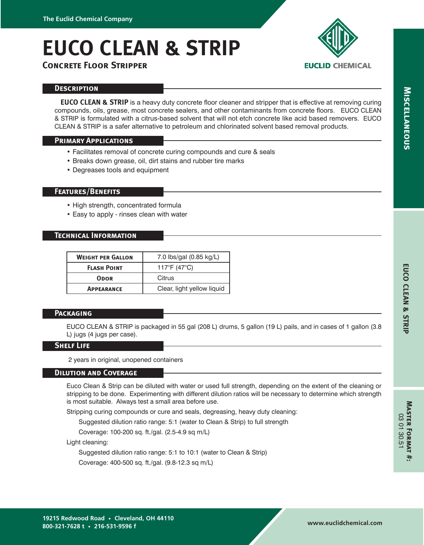# **EUCO CLEAN & STRIP**



# **Concrete Floor Stripper**

#### **Description**

**EUCO CLEAN & STRIP** is a heavy duty concrete floor cleaner and stripper that is effective at removing curing compounds, oils, grease, most concrete sealers, and other contaminants from concrete floors. EUCO CLEAN & STRIP is formulated with a citrus-based solvent that will not etch concrete like acid based removers. EUCO CLEAN & STRIP is a safer alternative to petroleum and chlorinated solvent based removal products.

## **Primary Applications**

- Facilitates removal of concrete curing compounds and cure & seals
- Breaks down grease, oil, dirt stains and rubber tire marks
- Degreases tools and equipment

#### **Features/Benefits**

- High strength, concentrated formula
- Easy to apply rinses clean with water

### **Technical Information**

| <b>WEIGHT PER GALLON</b> | 7.0 lbs/gal (0.85 kg/L)    |
|--------------------------|----------------------------|
| <b>FLASH POINT</b>       | 117°F (47°C)               |
| <b>ODOR</b>              | Citrus                     |
| <b>APPEARANCE</b>        | Clear, light yellow liquid |

#### **Packaging**

EUCO CLEAN & STRIP is packaged in 55 gal (208 L) drums, 5 gallon (19 L) pails, and in cases of 1 gallon (3.8 L) jugs (4 jugs per case).

#### **Shelf Life**

2 years in original, unopened containers

#### **Dilution and Coverage**

Euco Clean & Strip can be diluted with water or used full strength, depending on the extent of the cleaning or stripping to be done. Experimenting with different dilution ratios will be necessary to determine which strength is most suitable. Always test a small area before use.

Stripping curing compounds or cure and seals, degreasing, heavy duty cleaning:

Suggested dilution ratio range: 5:1 (water to Clean & Strip) to full strength

Coverage: 100-200 sq. ft./gal. (2.5-4.9 sq m/L)

Light cleaning:

Suggested dilution ratio range: 5:1 to 10:1 (water to Clean & Strip)

Coverage: 400-500 sq. ft./gal. (9.8-12.3 sq m/L)